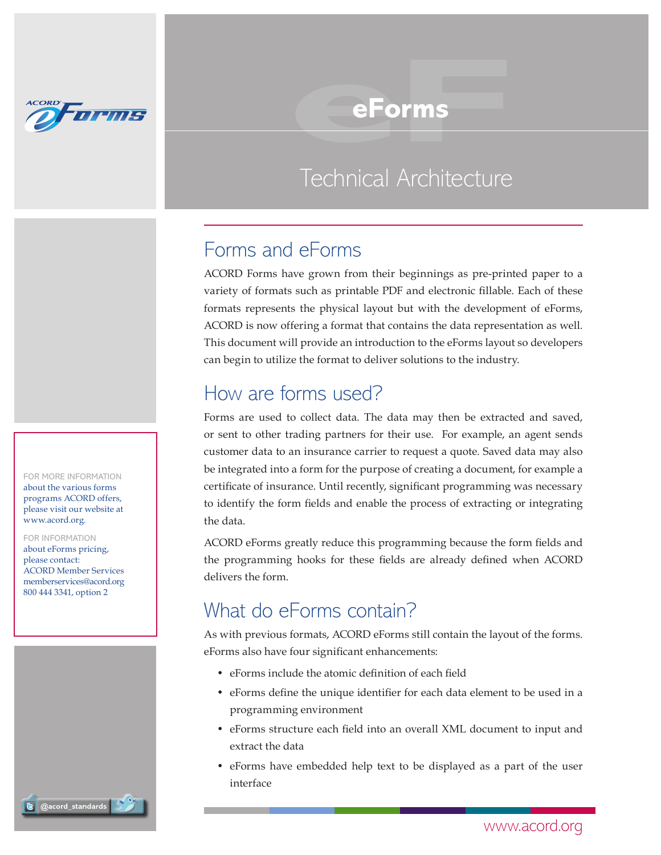

# Technical Architecture **eForms**<br> **Fechnical Architecture**

#### Forms and eForms

ACORD Forms have grown from their beginnings as pre-printed paper to a variety of formats such as printable PDF and electronic fillable. Each of these formats represents the physical layout but with the development of eForms, ACORD is now offering a format that contains the data representation as well. This document will provide an introduction to the eForms layout so developers can begin to utilize the format to deliver solutions to the industry.

## How are forms used?

Forms are used to collect data. The data may then be extracted and saved, or sent to other trading partners for their use. For example, an agent sends customer data to an insurance carrier to request a quote. Saved data may also be integrated into a form for the purpose of creating a document, for example a certificate of insurance. Until recently, significant programming was necessary to identify the form fields and enable the process of extracting or integrating the data.

ACORD eForms greatly reduce this programming because the form fields and the programming hooks for these fields are already defined when ACORD delivers the form.

### What do eForms contain?

As with previous formats, ACORD eForms still contain the layout of the forms. eForms also have four significant enhancements:

- eForms include the atomic definition of each field
- eForms define the unique identifier for each data element to be used in a programming environment
- eForms structure each field into an overall XML document to input and extract the data
- eForms have embedded help text to be displayed as a part of the user interface

For More Information about the various forms programs ACORD offers, please visit our website at www.acord.org.

For Information about eForms pricing, please contact: ACORD Member Services memberservices@acord.org 800 444 3341, option 2